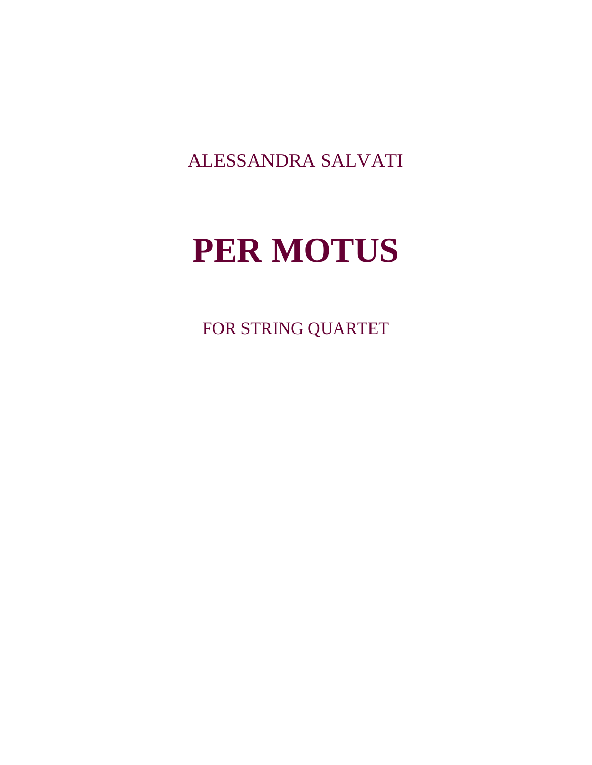ALESSANDRA SALVATI

# **PER MOTUS**

FOR STRING QUARTET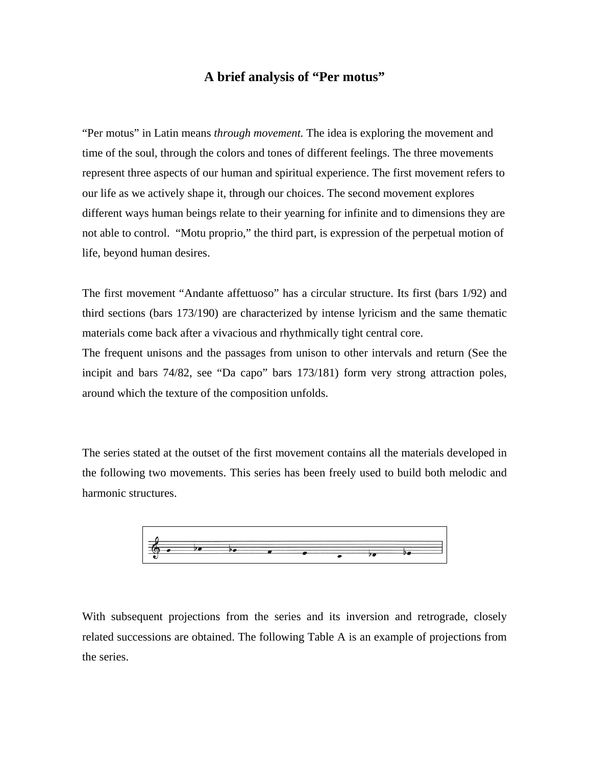### **A brief analysis of "Per motus"**

"Per motus" in Latin means *through movement.* The idea is exploring the movement and time of the soul, through the colors and tones of different feelings. The three movements represent three aspects of our human and spiritual experience. The first movement refers to our life as we actively shape it, through our choices. The second movement explores different ways human beings relate to their yearning for infinite and to dimensions they are not able to control. "Motu proprio," the third part, is expression of the perpetual motion of life, beyond human desires.

The first movement "Andante affettuoso" has a circular structure. Its first (bars 1/92) and third sections (bars 173/190) are characterized by intense lyricism and the same thematic materials come back after a vivacious and rhythmically tight central core.

The frequent unisons and the passages from unison to other intervals and return (See the incipit and bars 74/82, see "Da capo" bars 173/181) form very strong attraction poles, around which the texture of the composition unfolds.

The series stated at the outset of the first movement contains all the materials developed in the following two movements. This series has been freely used to build both melodic and harmonic structures.



With subsequent projections from the series and its inversion and retrograde, closely related successions are obtained. The following Table A is an example of projections from the series.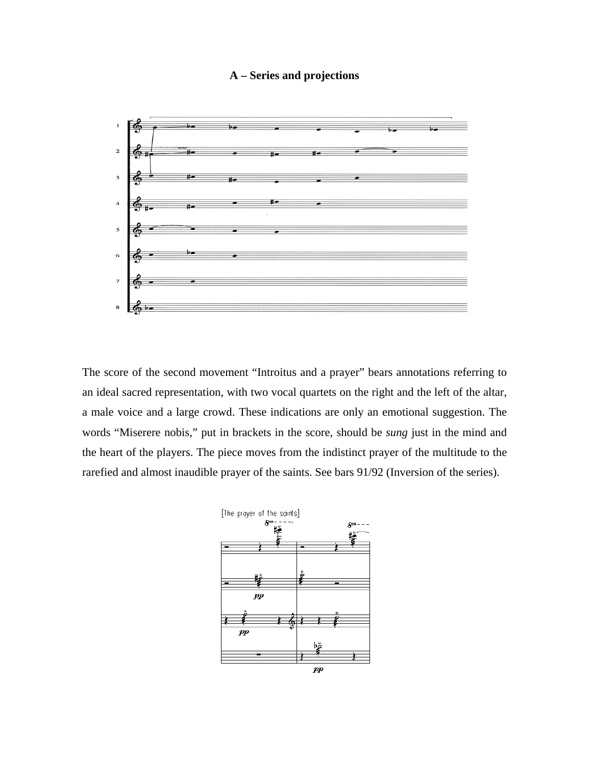#### **A – Series and projections**



The score of the second movement "Introitus and a prayer" bears annotations referring to an ideal sacred representation, with two vocal quartets on the right and the left of the altar, a male voice and a large crowd. These indications are only an emotional suggestion. The words "Miserere nobis," put in brackets in the score, should be *sung* just in the mind and the heart of the players. The piece moves from the indistinct prayer of the multitude to the rarefied and almost inaudible prayer of the saints. See bars 91/92 (Inversion of the series).

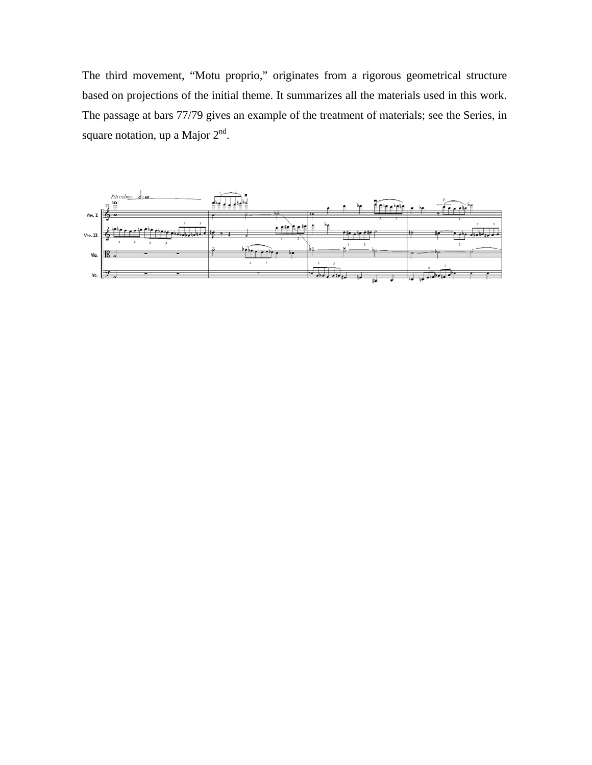The third movement, "Motu proprio," originates from a rigorous geometrical structure based on projections of the initial theme. It summarizes all the materials used in this work. The passage at bars 77/79 gives an example of the treatment of materials; see the Series, in square notation, up a Major  $2<sup>nd</sup>$ .

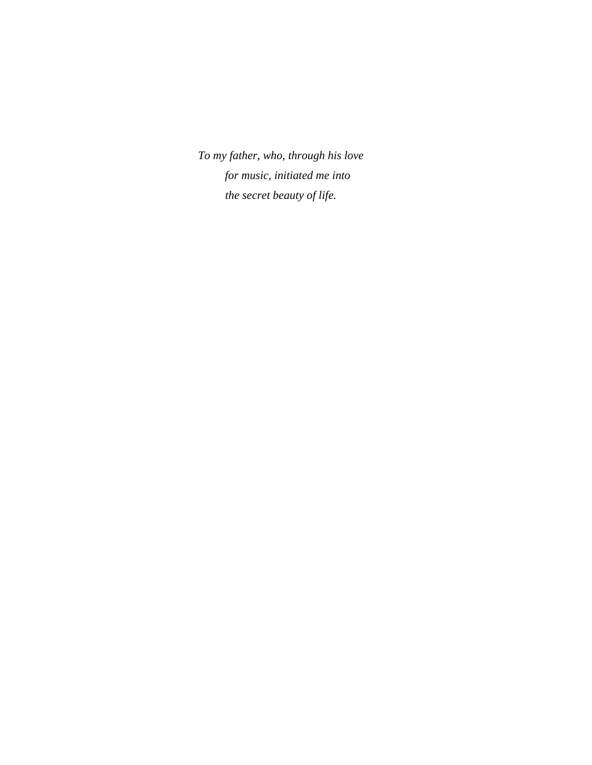*To my father, who, through his love for music, initiated me into the secret beauty of life.*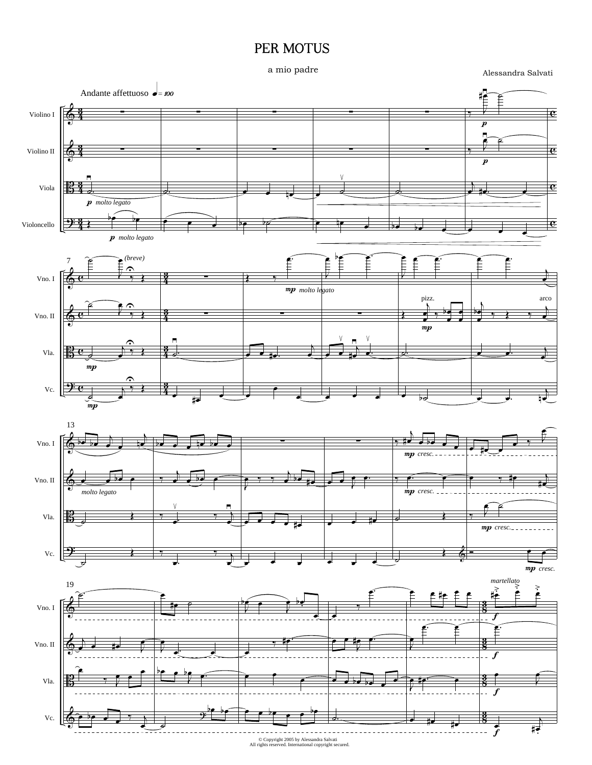## PER MOTUS



 <sup>©</sup> Copyright 2005 by Alessandra Salvati All rights reserved. International copyright secured.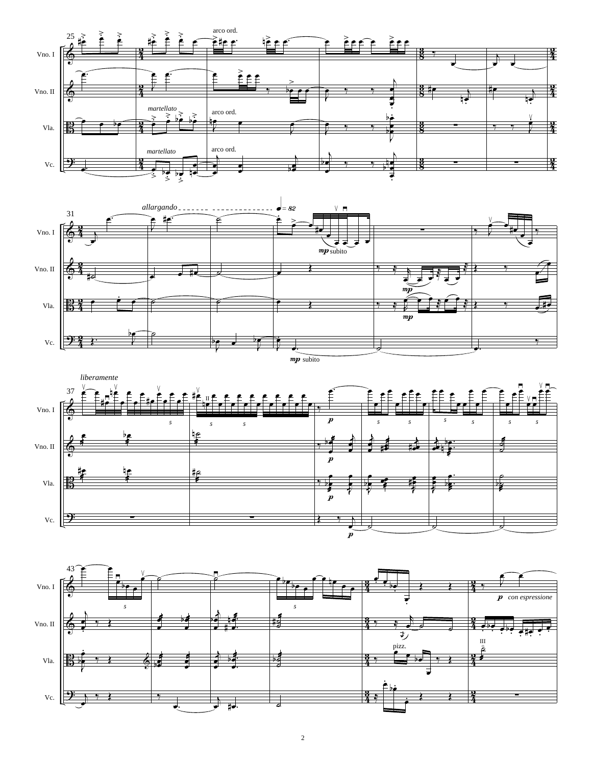







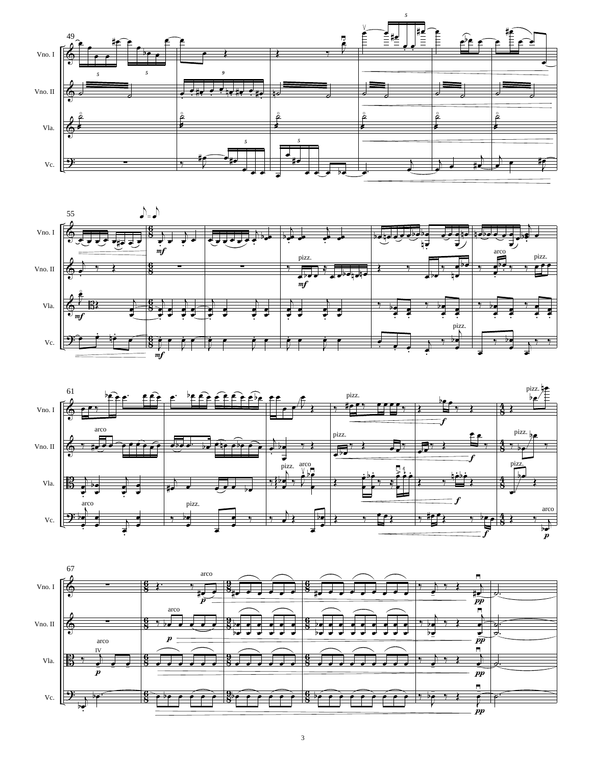





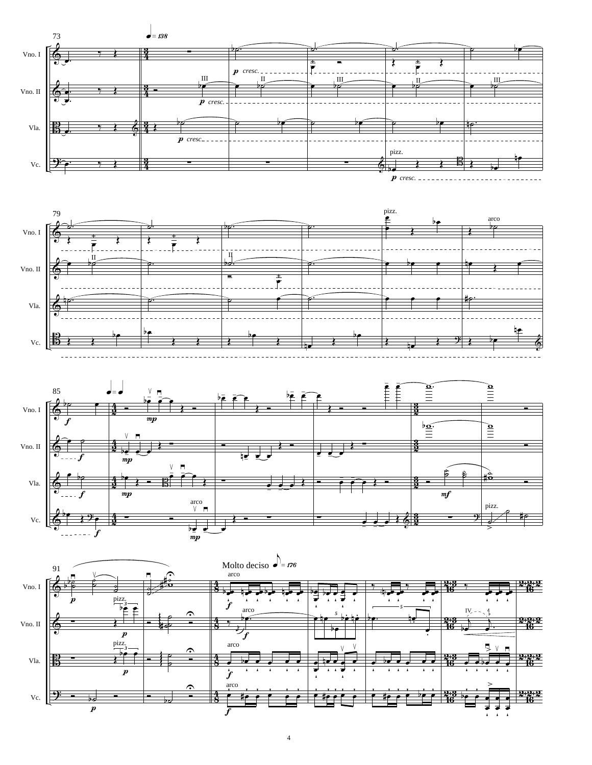





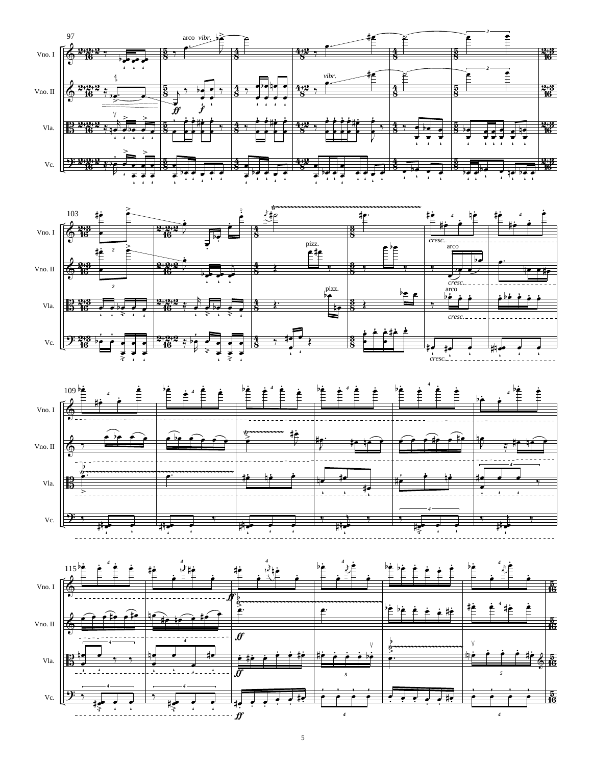





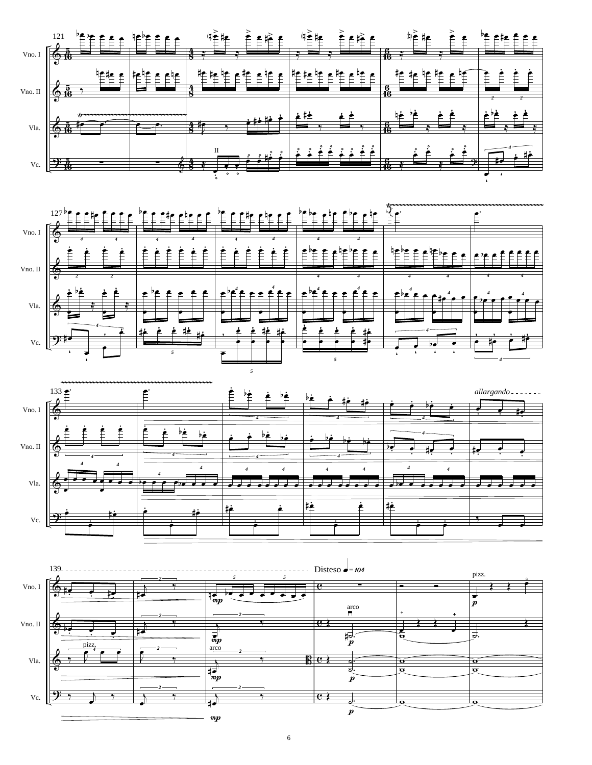





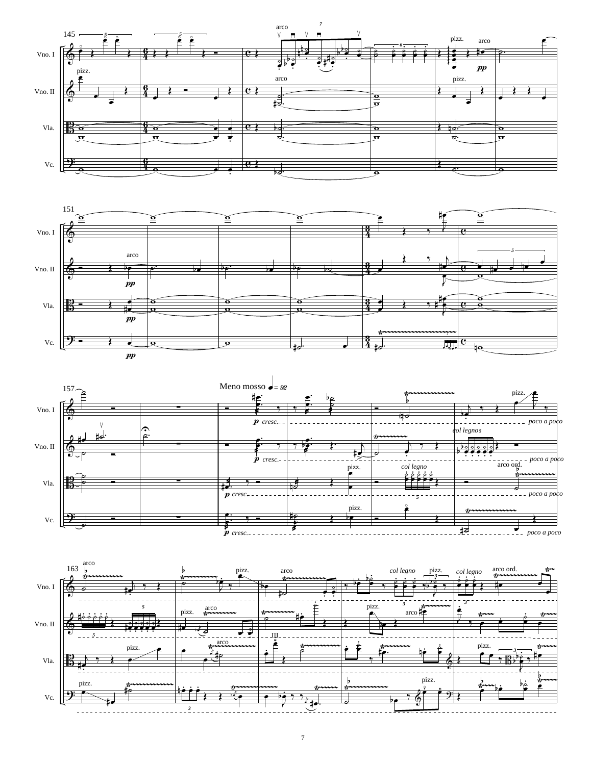





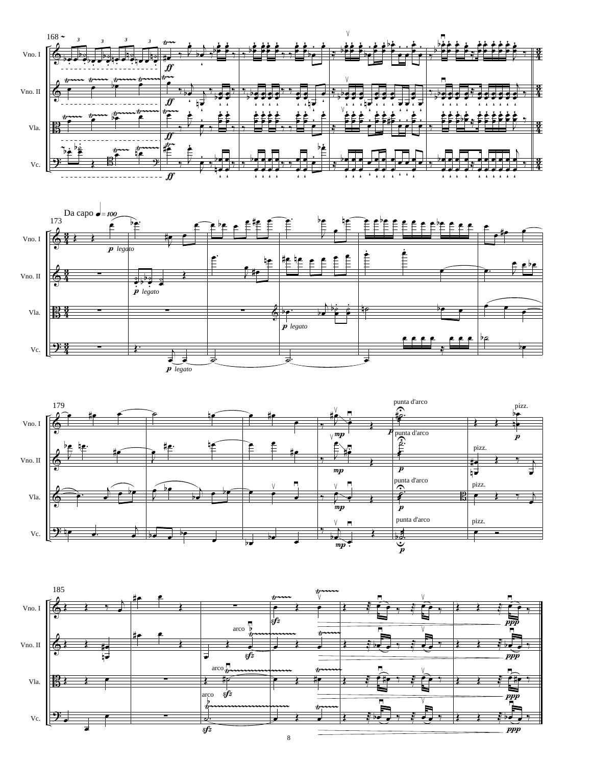





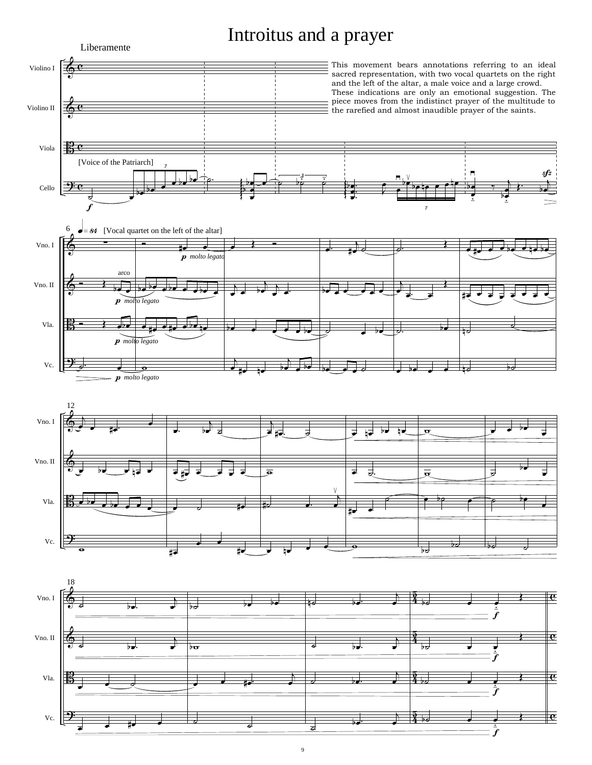## Introitus and a prayer

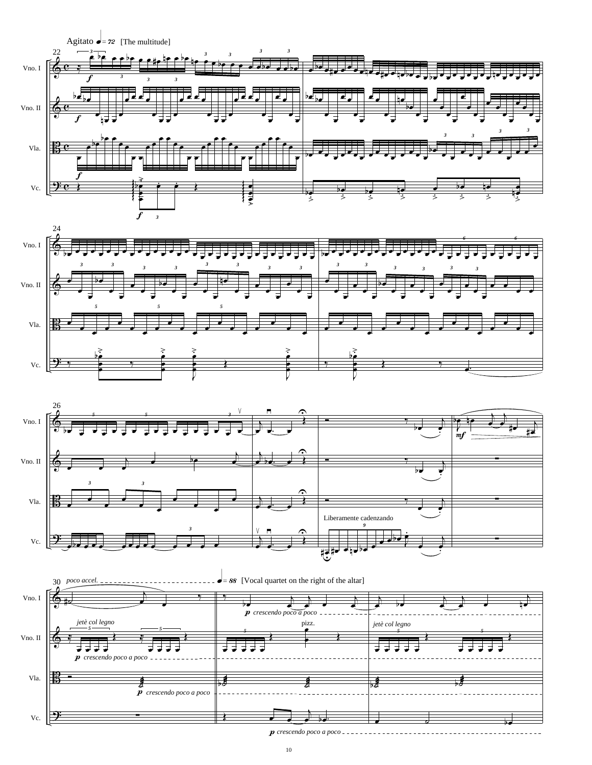





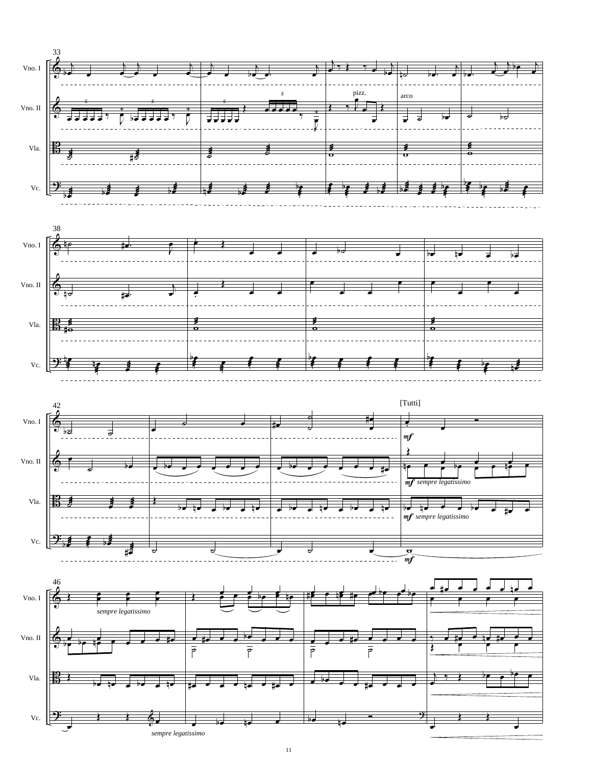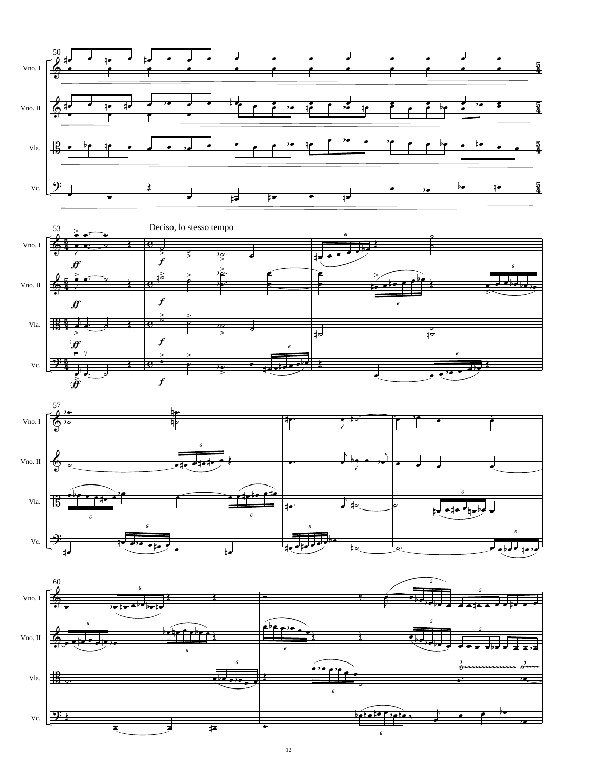



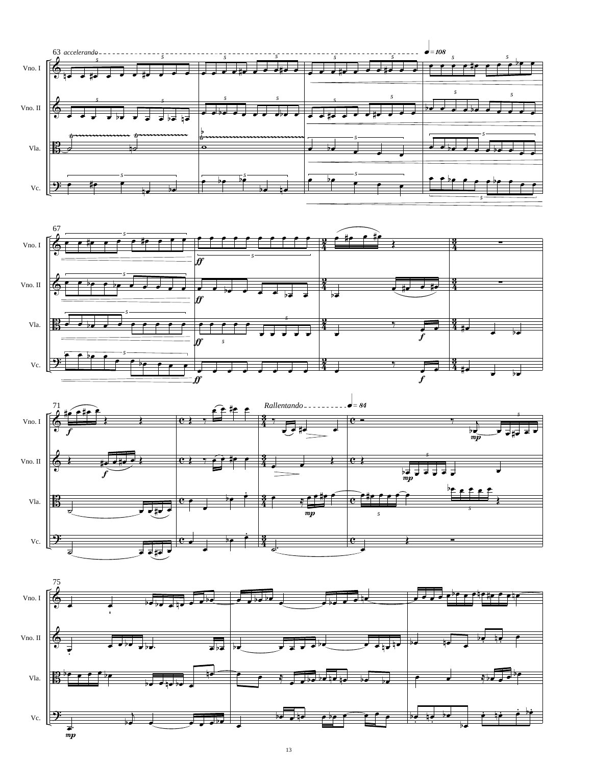





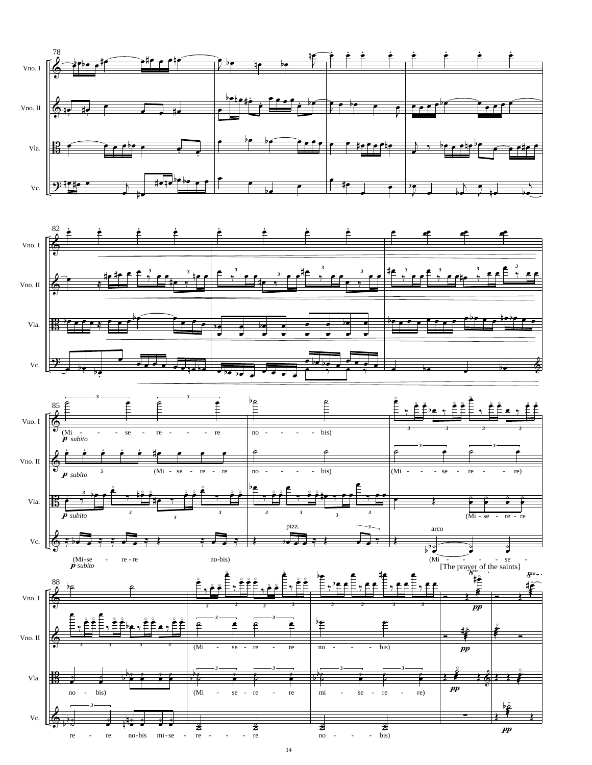





14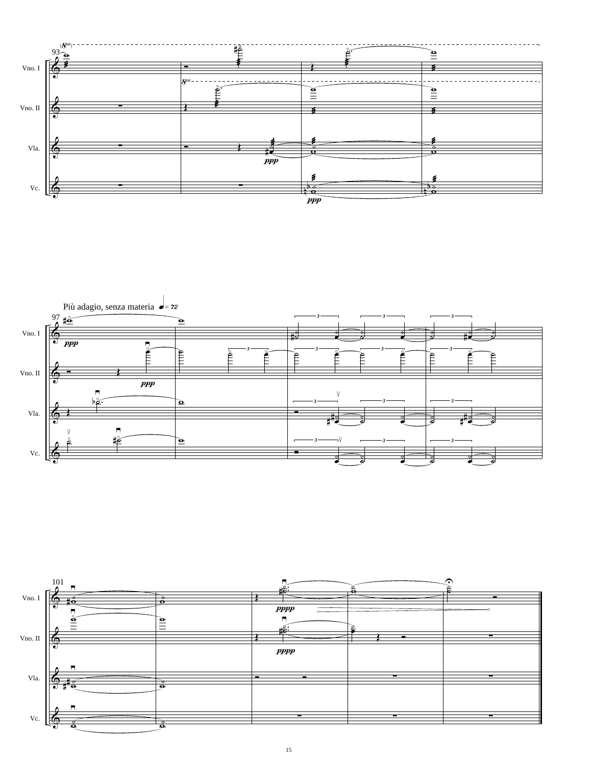



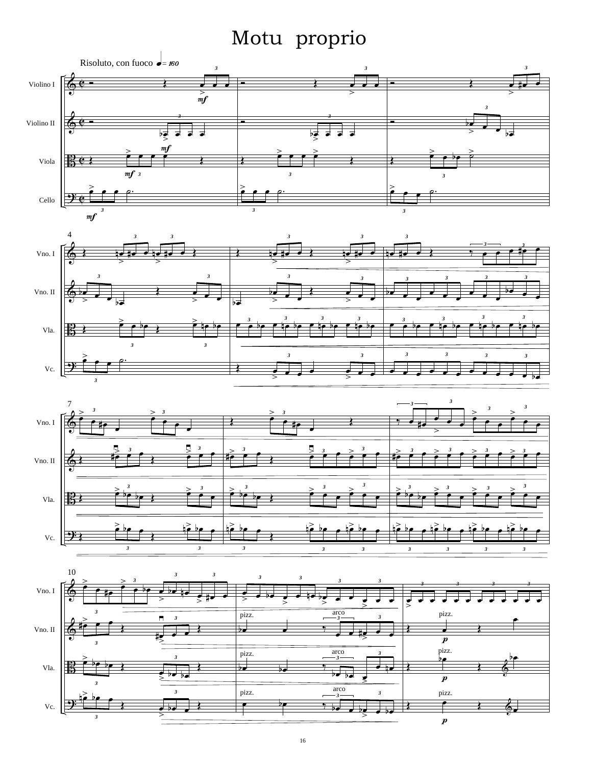# Motu proprio







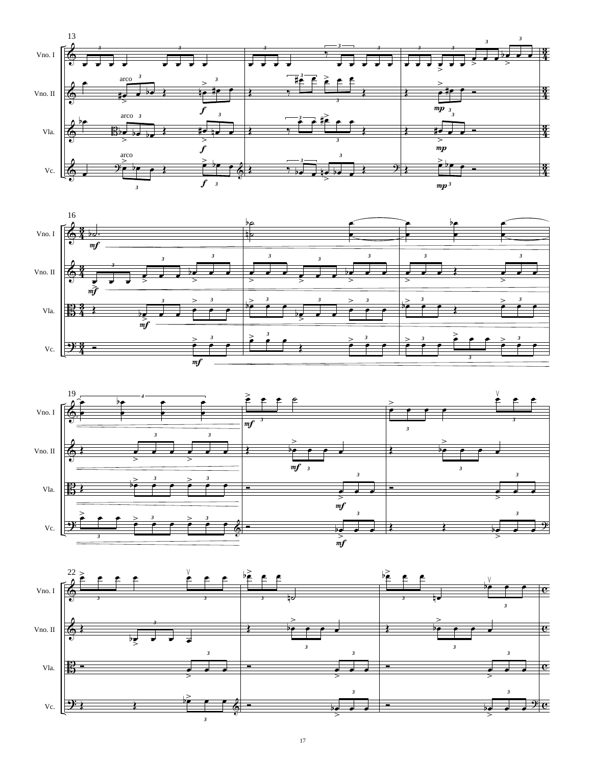





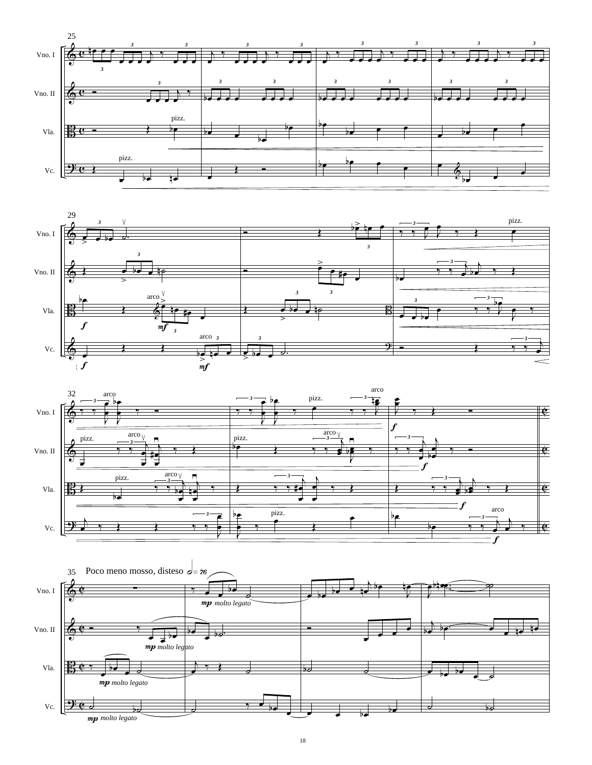





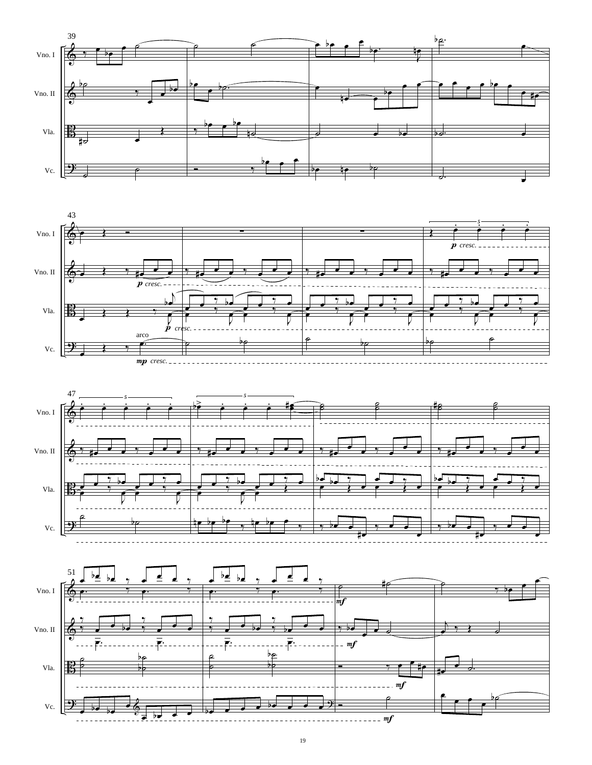





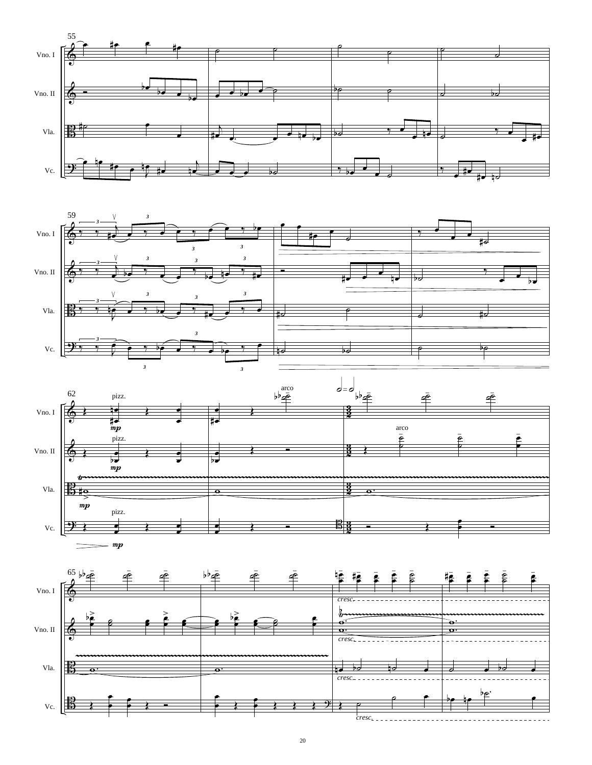





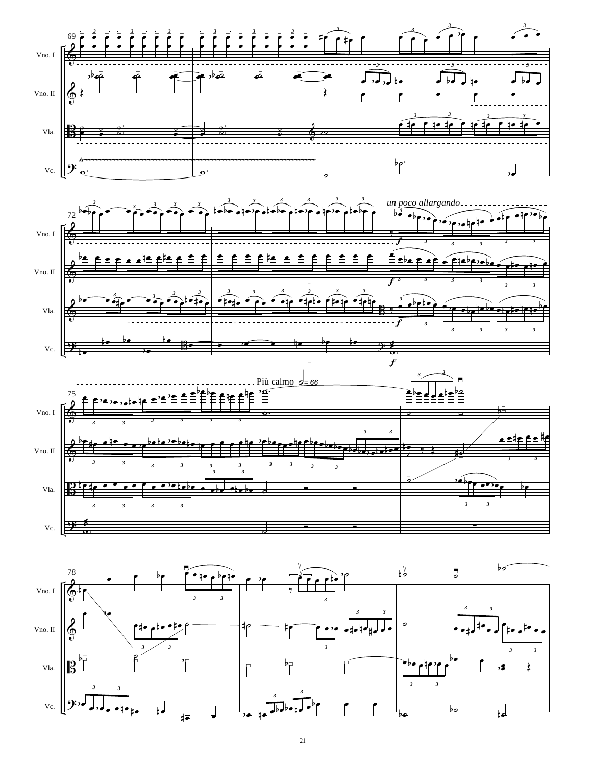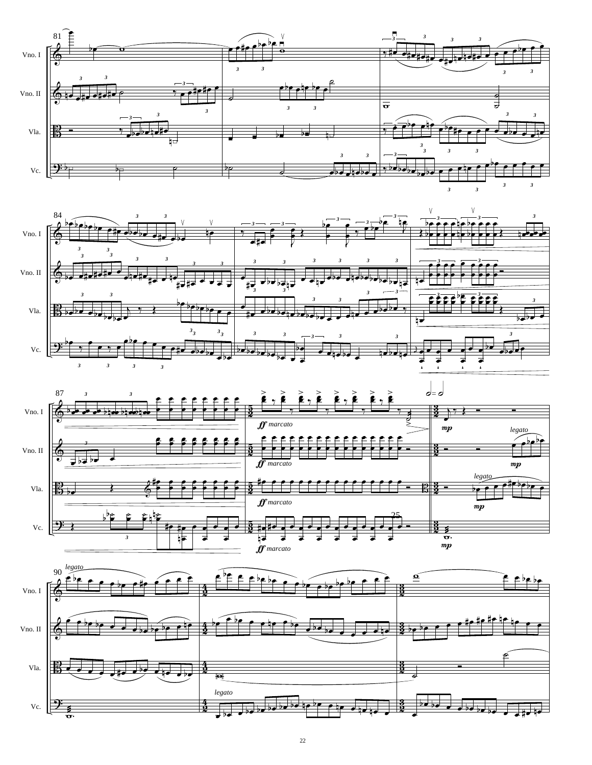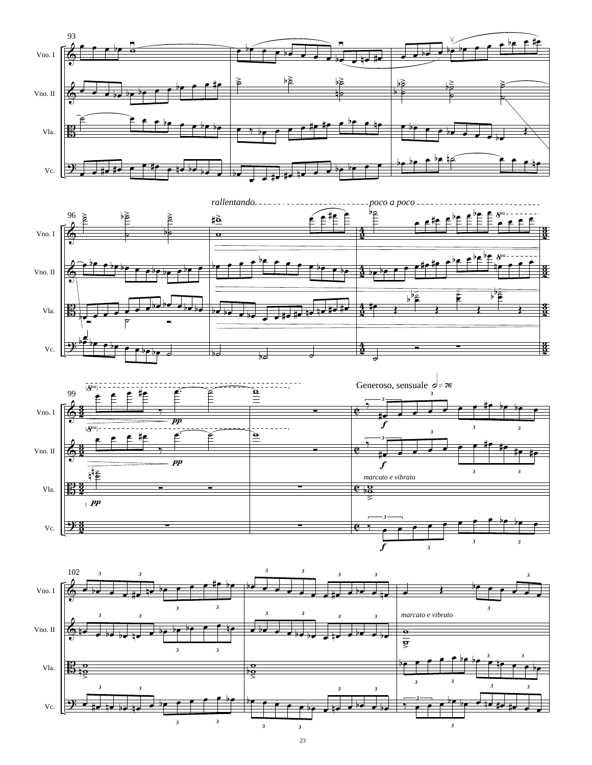





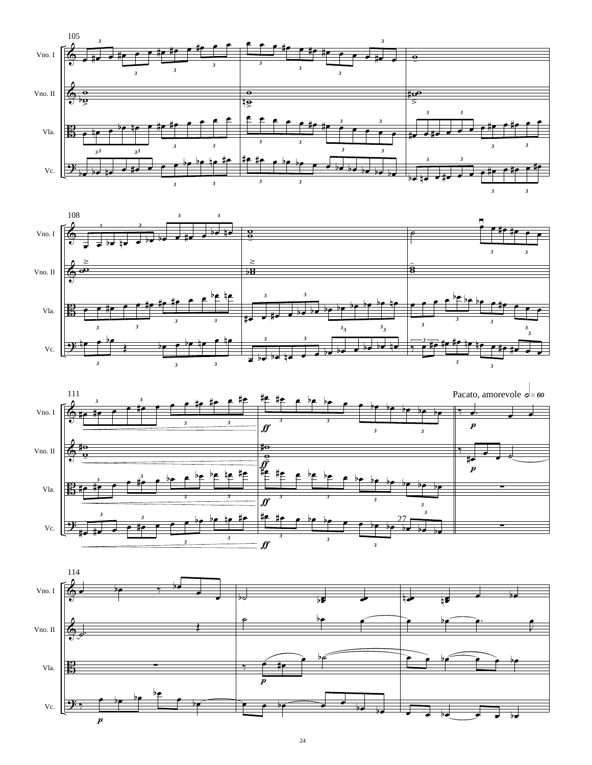





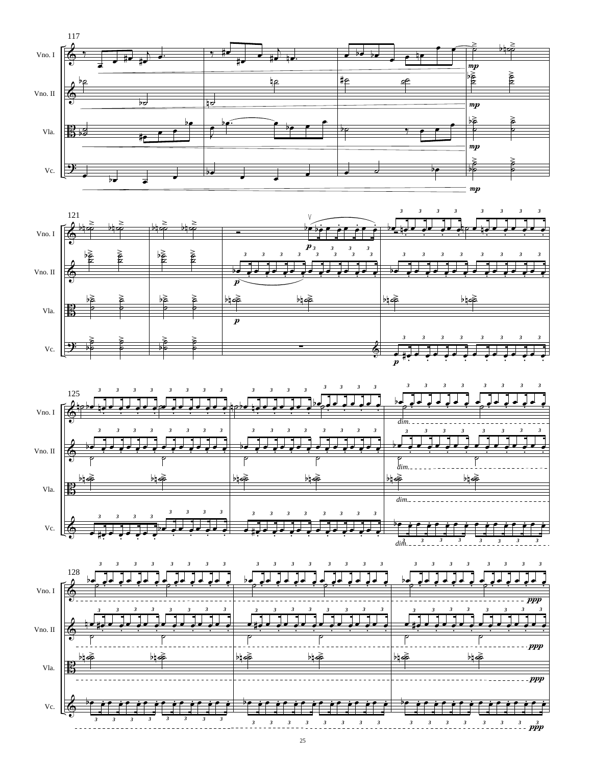